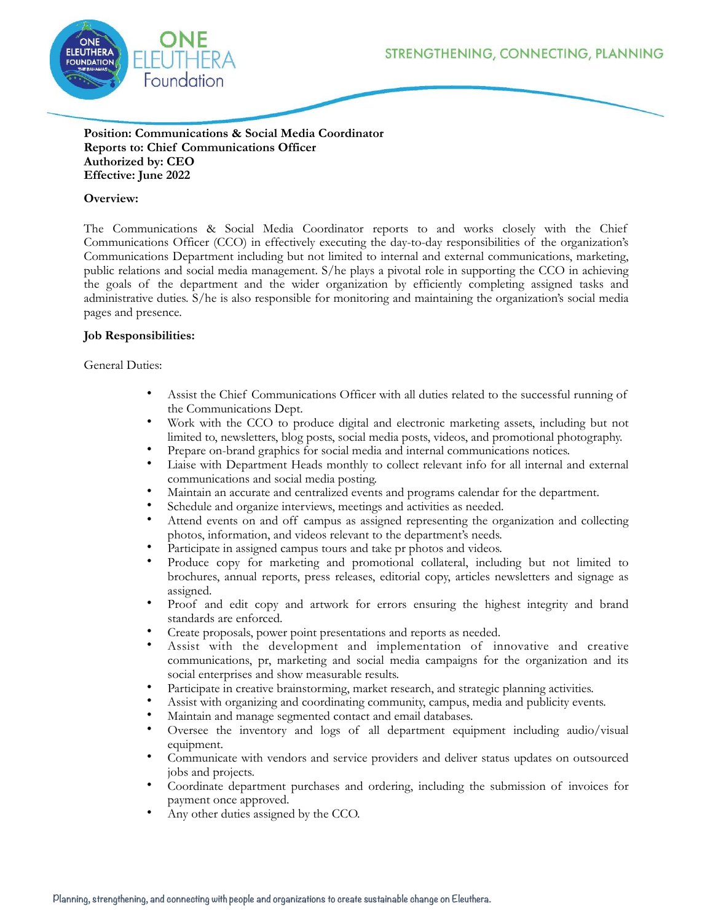STRENGTHENING, CONNECTING, PLANNING



### **Position: Communications & Social Media Coordinator Reports to: Chief Communications Officer Authorized by: CEO Effective: June 2022**

# **Overview:**

The Communications & Social Media Coordinator reports to and works closely with the Chief Communications Officer (CCO) in effectively executing the day-to-day responsibilities of the organization's Communications Department including but not limited to internal and external communications, marketing, public relations and social media management. S/he plays a pivotal role in supporting the CCO in achieving the goals of the department and the wider organization by efficiently completing assigned tasks and administrative duties. S/he is also responsible for monitoring and maintaining the organization's social media pages and presence.

# **Job Responsibilities:**

### General Duties:

- Assist the Chief Communications Officer with all duties related to the successful running of the Communications Dept.
- Work with the CCO to produce digital and electronic marketing assets, including but not limited to, newsletters, blog posts, social media posts, videos, and promotional photography.
- Prepare on-brand graphics for social media and internal communications notices.
- Liaise with Department Heads monthly to collect relevant info for all internal and external communications and social media posting.
- Maintain an accurate and centralized events and programs calendar for the department.
- Schedule and organize interviews, meetings and activities as needed.
- Attend events on and off campus as assigned representing the organization and collecting photos, information, and videos relevant to the department's needs.
- Participate in assigned campus tours and take pr photos and videos.
- Produce copy for marketing and promotional collateral, including but not limited to brochures, annual reports, press releases, editorial copy, articles newsletters and signage as assigned.
- Proof and edit copy and artwork for errors ensuring the highest integrity and brand standards are enforced.
- Create proposals, power point presentations and reports as needed.
- Assist with the development and implementation of innovative and creative communications, pr, marketing and social media campaigns for the organization and its social enterprises and show measurable results.
- Participate in creative brainstorming, market research, and strategic planning activities.
- Assist with organizing and coordinating community, campus, media and publicity events.
- Maintain and manage segmented contact and email databases.<br>• Organize the investory and logar of all department equiv
- Oversee the inventory and logs of all department equipment including audio/visual equipment.
- Communicate with vendors and service providers and deliver status updates on outsourced jobs and projects.
- Coordinate department purchases and ordering, including the submission of invoices for payment once approved.
- Any other duties assigned by the CCO.